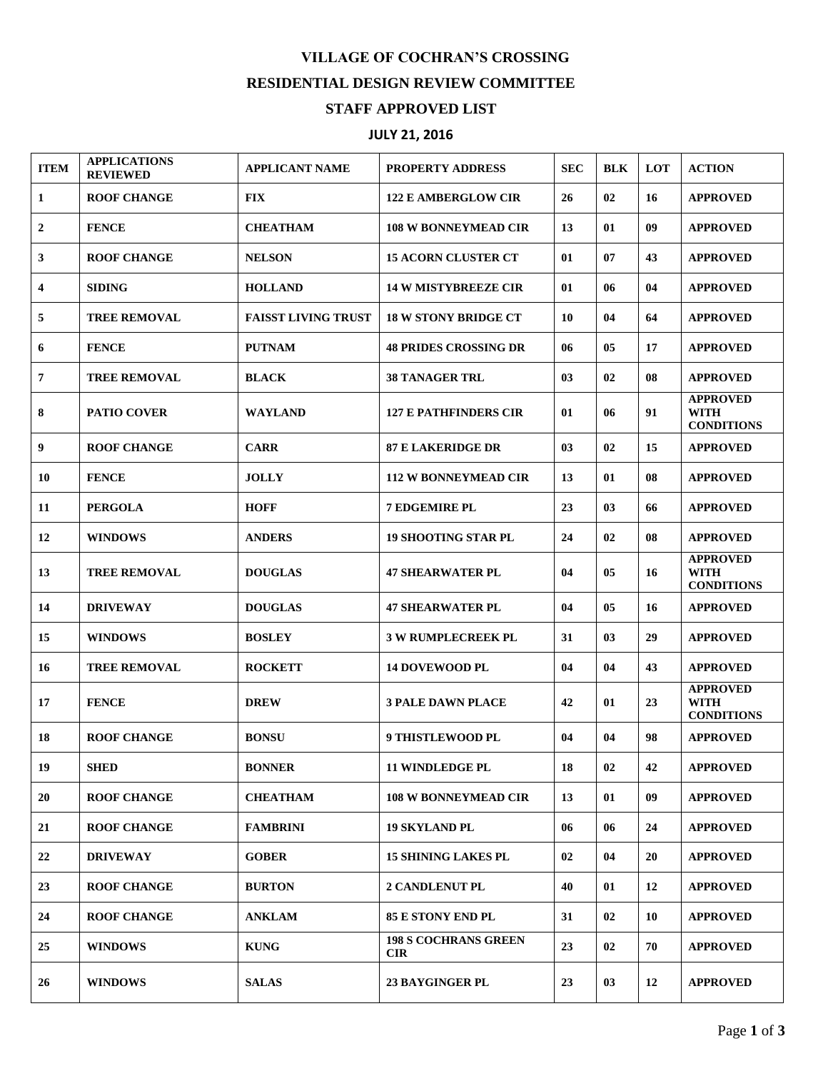## **VILLAGE OF COCHRAN'S CROSSING RESIDENTIAL DESIGN REVIEW COMMITTEE STAFF APPROVED LIST**

## **JULY 21, 2016**

| <b>ITEM</b>             | <b>APPLICATIONS</b><br><b>REVIEWED</b> | <b>APPLICANT NAME</b>      | <b>PROPERTY ADDRESS</b>                   | <b>SEC</b> | <b>BLK</b>     | <b>LOT</b> | <b>ACTION</b>                                       |
|-------------------------|----------------------------------------|----------------------------|-------------------------------------------|------------|----------------|------------|-----------------------------------------------------|
| $\mathbf{1}$            | <b>ROOF CHANGE</b>                     | <b>FIX</b>                 | <b>122 E AMBERGLOW CIR</b>                | 26         | 02             | 16         | <b>APPROVED</b>                                     |
| $\mathbf{2}$            | <b>FENCE</b>                           | <b>CHEATHAM</b>            | <b>108 W BONNEYMEAD CIR</b>               | 13         | 01             | 09         | <b>APPROVED</b>                                     |
| 3                       | <b>ROOF CHANGE</b>                     | <b>NELSON</b>              | <b>15 ACORN CLUSTER CT</b>                | 01         | 07             | 43         | <b>APPROVED</b>                                     |
| $\overline{\mathbf{4}}$ | <b>SIDING</b>                          | <b>HOLLAND</b>             | <b>14 W MISTYBREEZE CIR</b>               | 01         | 06             | 04         | <b>APPROVED</b>                                     |
| 5                       | <b>TREE REMOVAL</b>                    | <b>FAISST LIVING TRUST</b> | <b>18 W STONY BRIDGE CT</b>               | 10         | 04             | 64         | <b>APPROVED</b>                                     |
| 6                       | <b>FENCE</b>                           | <b>PUTNAM</b>              | <b>48 PRIDES CROSSING DR</b>              | 06         | 05             | 17         | <b>APPROVED</b>                                     |
| 7                       | <b>TREE REMOVAL</b>                    | <b>BLACK</b>               | <b>38 TANAGER TRL</b>                     | 03         | 02             | 08         | <b>APPROVED</b>                                     |
| 8                       | <b>PATIO COVER</b>                     | <b>WAYLAND</b>             | <b>127 E PATHFINDERS CIR</b>              | 01         | 06             | 91         | <b>APPROVED</b><br><b>WITH</b><br><b>CONDITIONS</b> |
| 9                       | <b>ROOF CHANGE</b>                     | <b>CARR</b>                | <b>87 E LAKERIDGE DR</b>                  | 03         | 02             | 15         | <b>APPROVED</b>                                     |
| 10                      | <b>FENCE</b>                           | <b>JOLLY</b>               | <b>112 W BONNEYMEAD CIR</b>               | 13         | 01             | 08         | <b>APPROVED</b>                                     |
| 11                      | <b>PERGOLA</b>                         | <b>HOFF</b>                | <b>7 EDGEMIRE PL</b>                      | 23         | 0 <sub>3</sub> | 66         | <b>APPROVED</b>                                     |
| 12                      | <b>WINDOWS</b>                         | <b>ANDERS</b>              | <b>19 SHOOTING STAR PL</b>                | 24         | 02             | 08         | <b>APPROVED</b>                                     |
| 13                      | <b>TREE REMOVAL</b>                    | <b>DOUGLAS</b>             | <b>47 SHEARWATER PL</b>                   | 04         | 05             | 16         | <b>APPROVED</b><br><b>WITH</b><br><b>CONDITIONS</b> |
| 14                      | <b>DRIVEWAY</b>                        | <b>DOUGLAS</b>             | <b>47 SHEARWATER PL</b>                   | 04         | 05             | 16         | <b>APPROVED</b>                                     |
| 15                      | <b>WINDOWS</b>                         | <b>BOSLEY</b>              | <b>3 W RUMPLECREEK PL</b>                 | 31         | 0 <sub>3</sub> | 29         | <b>APPROVED</b>                                     |
| 16                      | <b>TREE REMOVAL</b>                    | <b>ROCKETT</b>             | <b>14 DOVEWOOD PL</b>                     | 04         | 04             | 43         | <b>APPROVED</b>                                     |
| 17                      | <b>FENCE</b>                           | <b>DREW</b>                | <b>3 PALE DAWN PLACE</b>                  | 42         | 01             | 23         | <b>APPROVED</b><br><b>WITH</b><br><b>CONDITIONS</b> |
| 18                      | <b>ROOF CHANGE</b>                     | <b>BONSU</b>               | <b>9 THISTLEWOOD PL</b>                   | 04         | 04             | 98         | <b>APPROVED</b>                                     |
| 19                      | <b>SHED</b>                            | <b>BONNER</b>              | <b>11 WINDLEDGE PL</b>                    | 18         | 02             | 42         | <b>APPROVED</b>                                     |
| 20                      | <b>ROOF CHANGE</b>                     | <b>CHEATHAM</b>            | <b>108 W BONNEYMEAD CIR</b>               | 13         | 01             | 09         | <b>APPROVED</b>                                     |
| 21                      | <b>ROOF CHANGE</b>                     | <b>FAMBRINI</b>            | <b>19 SKYLAND PL</b>                      | 06         | 06             | 24         | <b>APPROVED</b>                                     |
| 22                      | <b>DRIVEWAY</b>                        | <b>GOBER</b>               | <b>15 SHINING LAKES PL</b>                | 02         | 04             | 20         | <b>APPROVED</b>                                     |
| 23                      | <b>ROOF CHANGE</b>                     | <b>BURTON</b>              | <b>2 CANDLENUT PL</b>                     | 40         | 01             | 12         | <b>APPROVED</b>                                     |
| 24                      | <b>ROOF CHANGE</b>                     | <b>ANKLAM</b>              | <b>85 E STONY END PL</b>                  | 31         | 02             | 10         | <b>APPROVED</b>                                     |
| 25                      | <b>WINDOWS</b>                         | <b>KUNG</b>                | <b>198 S COCHRANS GREEN</b><br><b>CIR</b> | 23         | 02             | 70         | <b>APPROVED</b>                                     |
| 26                      | <b>WINDOWS</b>                         | <b>SALAS</b>               | <b>23 BAYGINGER PL</b>                    | 23         | 03             | 12         | <b>APPROVED</b>                                     |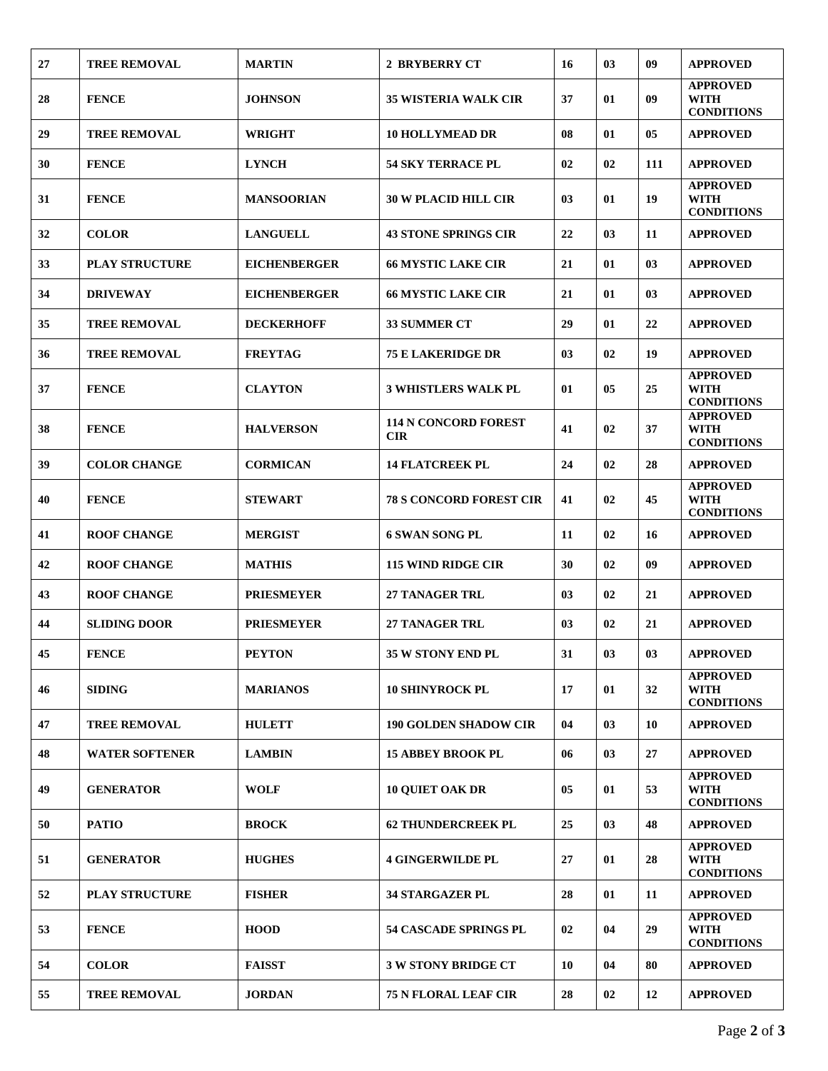| 27 | <b>TREE REMOVAL</b>   | <b>MARTIN</b>       | <b>2 BRYBERRY CT</b>                      | 16 | 0 <sub>3</sub> | 09  | <b>APPROVED</b>                                     |
|----|-----------------------|---------------------|-------------------------------------------|----|----------------|-----|-----------------------------------------------------|
| 28 | <b>FENCE</b>          | <b>JOHNSON</b>      | <b>35 WISTERIA WALK CIR</b>               | 37 | 01             | 09  | <b>APPROVED</b><br><b>WITH</b><br><b>CONDITIONS</b> |
| 29 | <b>TREE REMOVAL</b>   | <b>WRIGHT</b>       | <b>10 HOLLYMEAD DR</b>                    | 08 | 01             | 05  | <b>APPROVED</b>                                     |
| 30 | <b>FENCE</b>          | <b>LYNCH</b>        | <b>54 SKY TERRACE PL</b>                  | 02 | 02             | 111 | <b>APPROVED</b>                                     |
| 31 | <b>FENCE</b>          | <b>MANSOORIAN</b>   | <b>30 W PLACID HILL CIR</b>               | 03 | 01             | 19  | <b>APPROVED</b><br><b>WITH</b><br><b>CONDITIONS</b> |
| 32 | <b>COLOR</b>          | <b>LANGUELL</b>     | <b>43 STONE SPRINGS CIR</b>               | 22 | 03             | 11  | <b>APPROVED</b>                                     |
| 33 | <b>PLAY STRUCTURE</b> | <b>EICHENBERGER</b> | <b>66 MYSTIC LAKE CIR</b>                 | 21 | 01             | 03  | <b>APPROVED</b>                                     |
| 34 | <b>DRIVEWAY</b>       | <b>EICHENBERGER</b> | <b>66 MYSTIC LAKE CIR</b>                 | 21 | 01             | 03  | <b>APPROVED</b>                                     |
| 35 | <b>TREE REMOVAL</b>   | <b>DECKERHOFF</b>   | <b>33 SUMMER CT</b>                       | 29 | 01             | 22  | <b>APPROVED</b>                                     |
| 36 | <b>TREE REMOVAL</b>   | <b>FREYTAG</b>      | <b>75 E LAKERIDGE DR</b>                  | 03 | 02             | 19  | <b>APPROVED</b>                                     |
| 37 | <b>FENCE</b>          | <b>CLAYTON</b>      | <b>3 WHISTLERS WALK PL</b>                | 01 | 05             | 25  | <b>APPROVED</b><br><b>WITH</b><br><b>CONDITIONS</b> |
| 38 | <b>FENCE</b>          | <b>HALVERSON</b>    | <b>114 N CONCORD FOREST</b><br><b>CIR</b> | 41 | 02             | 37  | <b>APPROVED</b><br><b>WITH</b><br><b>CONDITIONS</b> |
| 39 | <b>COLOR CHANGE</b>   | <b>CORMICAN</b>     | <b>14 FLATCREEK PL</b>                    | 24 | 02             | 28  | <b>APPROVED</b>                                     |
| 40 | <b>FENCE</b>          | <b>STEWART</b>      | <b>78 S CONCORD FOREST CIR</b>            | 41 | 02             | 45  | <b>APPROVED</b><br><b>WITH</b><br><b>CONDITIONS</b> |
| 41 | <b>ROOF CHANGE</b>    | <b>MERGIST</b>      | <b>6 SWAN SONG PL</b>                     | 11 | 02             | 16  | <b>APPROVED</b>                                     |
| 42 | <b>ROOF CHANGE</b>    | <b>MATHIS</b>       | <b>115 WIND RIDGE CIR</b>                 | 30 | 02             | 09  | <b>APPROVED</b>                                     |
| 43 | <b>ROOF CHANGE</b>    | <b>PRIESMEYER</b>   | <b>27 TANAGER TRL</b>                     | 03 | 02             | 21  | <b>APPROVED</b>                                     |
| 44 | <b>SLIDING DOOR</b>   | <b>PRIESMEYER</b>   | <b>27 TANAGER TRL</b>                     | 03 | 02             | 21  | <b>APPROVED</b>                                     |
| 45 | <b>FENCE</b>          | <b>PEYTON</b>       | 35 W STONY END PL                         | 31 | 03             | 03  | <b>APPROVED</b>                                     |
| 46 | <b>SIDING</b>         | <b>MARIANOS</b>     | <b>10 SHINYROCK PL</b>                    | 17 | 01             | 32  | <b>APPROVED</b><br><b>WITH</b><br><b>CONDITIONS</b> |
| 47 | <b>TREE REMOVAL</b>   | <b>HULETT</b>       | <b>190 GOLDEN SHADOW CIR</b>              | 04 | 03             | 10  | <b>APPROVED</b>                                     |
| 48 | <b>WATER SOFTENER</b> | <b>LAMBIN</b>       | <b>15 ABBEY BROOK PL</b>                  | 06 | 03             | 27  | <b>APPROVED</b>                                     |
| 49 | <b>GENERATOR</b>      | <b>WOLF</b>         | <b>10 OUIET OAK DR</b>                    | 05 | 01             | 53  | <b>APPROVED</b><br><b>WITH</b><br><b>CONDITIONS</b> |
| 50 | <b>PATIO</b>          | <b>BROCK</b>        | <b>62 THUNDERCREEK PL</b>                 | 25 | 03             | 48  | <b>APPROVED</b>                                     |
| 51 | <b>GENERATOR</b>      | <b>HUGHES</b>       | <b>4 GINGERWILDE PL</b>                   | 27 | 01             | 28  | <b>APPROVED</b><br><b>WITH</b><br><b>CONDITIONS</b> |
| 52 | <b>PLAY STRUCTURE</b> | <b>FISHER</b>       | 34 STARGAZER PL                           | 28 | 01             | 11  | <b>APPROVED</b>                                     |
| 53 | <b>FENCE</b>          | <b>HOOD</b>         | <b>54 CASCADE SPRINGS PL</b>              | 02 | 04             | 29  | <b>APPROVED</b><br><b>WITH</b><br><b>CONDITIONS</b> |
| 54 | <b>COLOR</b>          | <b>FAISST</b>       | <b>3 W STONY BRIDGE CT</b>                | 10 | 04             | 80  | <b>APPROVED</b>                                     |
| 55 | <b>TREE REMOVAL</b>   | <b>JORDAN</b>       | <b>75 N FLORAL LEAF CIR</b>               | 28 | 02             | 12  | <b>APPROVED</b>                                     |